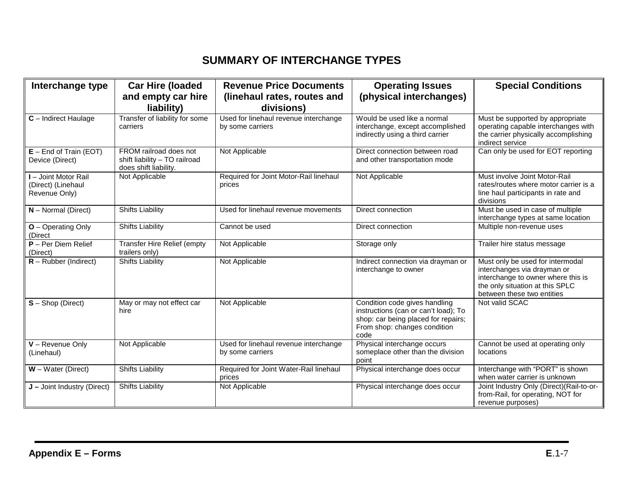## **SUMMARY OF INTERCHANGE TYPES**

| Interchange type                                            | <b>Car Hire (loaded</b><br>and empty car hire                                    | <b>Revenue Price Documents</b><br>(linehaul rates, routes and | <b>Operating Issues</b><br>(physical interchanges)                                                                                                   | <b>Special Conditions</b>                                                                                                                                              |
|-------------------------------------------------------------|----------------------------------------------------------------------------------|---------------------------------------------------------------|------------------------------------------------------------------------------------------------------------------------------------------------------|------------------------------------------------------------------------------------------------------------------------------------------------------------------------|
|                                                             | liability)                                                                       | divisions)                                                    |                                                                                                                                                      |                                                                                                                                                                        |
| C - Indirect Haulage                                        | Transfer of liability for some<br>carriers                                       | Used for linehaul revenue interchange<br>by some carriers     | Would be used like a normal<br>interchange, except accomplished<br>indirectly using a third carrier                                                  | Must be supported by appropriate<br>operating capable interchanges with<br>the carrier physically accomplishing<br>indirect service                                    |
| $E$ – End of Train (EOT)<br>Device (Direct)                 | FROM railroad does not<br>shift liability - TO railroad<br>does shift liability. | Not Applicable                                                | Direct connection between road<br>and other transportation mode                                                                                      | Can only be used for EOT reporting                                                                                                                                     |
| I - Joint Motor Rail<br>(Direct) (Linehaul<br>Revenue Only) | Not Applicable                                                                   | Required for Joint Motor-Rail linehaul<br>prices              | Not Applicable                                                                                                                                       | Must involve Joint Motor-Rail<br>rates/routes where motor carrier is a<br>line haul participants in rate and<br>divisions                                              |
| $N$ – Normal (Direct)                                       | <b>Shifts Liability</b>                                                          | Used for linehaul revenue movements                           | Direct connection                                                                                                                                    | Must be used in case of multiple<br>interchange types at same location                                                                                                 |
| O - Operating Only<br>(Direct                               | <b>Shifts Liability</b>                                                          | Cannot be used                                                | Direct connection                                                                                                                                    | Multiple non-revenue uses                                                                                                                                              |
| $P - Per$ Diem Relief<br>(Direct)                           | <b>Transfer Hire Relief (empty</b><br>trailers only)                             | Not Applicable                                                | Storage only                                                                                                                                         | Trailer hire status message                                                                                                                                            |
| $R$ – Rubber (Indirect)                                     | <b>Shifts Liability</b>                                                          | Not Applicable                                                | Indirect connection via drayman or<br>interchange to owner                                                                                           | Must only be used for intermodal<br>interchanges via drayman or<br>interchange to owner where this is<br>the only situation at this SPLC<br>between these two entities |
| $S -$ Shop (Direct)                                         | May or may not effect car<br>hire                                                | Not Applicable                                                | Condition code gives handling<br>instructions (can or can't load); To<br>shop: car being placed for repairs;<br>From shop: changes condition<br>code | Not valid SCAC                                                                                                                                                         |
| $V$ – Revenue Only<br>(Linehaul)                            | Not Applicable                                                                   | Used for linehaul revenue interchange<br>by some carriers     | Physical interchange occurs<br>someplace other than the division<br>point                                                                            | Cannot be used at operating only<br>locations                                                                                                                          |
| $W - Water$ (Direct)                                        | <b>Shifts Liability</b>                                                          | Required for Joint Water-Rail linehaul<br>prices              | Physical interchange does occur                                                                                                                      | Interchange with "PORT" is shown<br>when water carrier is unknown                                                                                                      |
| J - Joint Industry (Direct)                                 | <b>Shifts Liability</b>                                                          | Not Applicable                                                | Physical interchange does occur                                                                                                                      | Joint Industry Only (Direct) (Rail-to-or-<br>from-Rail, for operating, NOT for<br>revenue purposes)                                                                    |